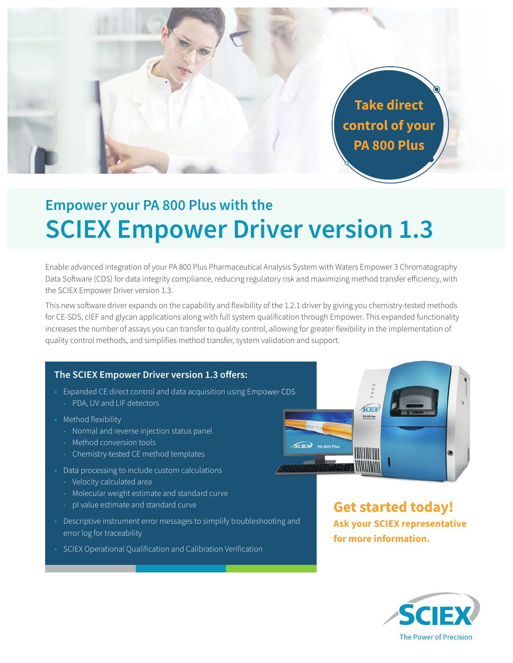**Take direct control of your PA 800 Plus**

# **Empower your PA 800 Plus with the SCIEX Empower Driver version 1.3**

Enable advanced integration of your PA 800 Plus Pharmaceutical Analysis System with Waters Empower 3 Chromatography Data Software (CDS) for data integrity compliance, reducing regulatory risk and maximizing method transfer efficiency, with the SCIEX Empower Driver version 1.3.

This new software driver expands on the capability and flexibility of the 1.2.1 driver by giving you chemistry-tested methods for CE-SDS, cIEF and glycan applications along with full system qualification through Empower. This expanded functionality increases the number of assays you can transfer to quality control, allowing for greater flexibility in the implementation of quality control methods, and simplifies method transfer, system validation and support.

### **The SCIEX Empower Driver version 1.3 offers:**

- **•** Expanded CE direct control and data acquisition using Empower CDS
	- PDA, UV and LIF detectors
- **•** Method flexibility
	- Normal and reverse injection status panel
	- Method conversion tools
	- Chemistry-tested CE method templates
- **•** Data processing to include custom calculations
	- Velocity calculated area
	- Molecular weight estimate and standard curve
	- pI value estimate and standard curve
- **•** Descriptive instrument error messages to simplify troubleshooting and error log for traceability
- **•** SCIEX Operational Qualification and Calibration Verification



**Get started today! Ask your SCIEX representative for more information.**